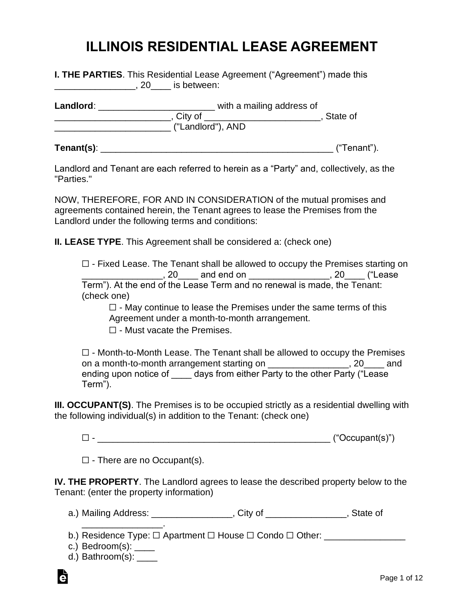# **ILLINOIS RESIDENTIAL LEASE AGREEMENT**

| <b>I. THE PARTIES.</b> This Residential Lease Agreement ("Agreement") made this<br>is between:<br>20 L |                                                                                     |             |  |  |
|--------------------------------------------------------------------------------------------------------|-------------------------------------------------------------------------------------|-------------|--|--|
| Landlord:                                                                                              | with a mailing address of<br>, City of _______________________<br>("Landlord"), AND | State of    |  |  |
| Tenant(s):                                                                                             |                                                                                     | ("Tenant"). |  |  |

Landlord and Tenant are each referred to herein as a "Party" and, collectively, as the "Parties."

NOW, THEREFORE, FOR AND IN CONSIDERATION of the mutual promises and agreements contained herein, the Tenant agrees to lease the Premises from the Landlord under the following terms and conditions:

**II. LEASE TYPE**. This Agreement shall be considered a: (check one)

 $\Box$  - Fixed Lease. The Tenant shall be allowed to occupy the Premises starting on \_\_\_\_\_\_\_\_\_\_\_\_\_\_\_\_\_\_, 20\_\_\_\_\_ and end on \_\_\_\_\_\_\_\_\_\_\_\_\_\_\_\_\_\_, 20\_\_\_\_ ("Lease Term"). At the end of the Lease Term and no renewal is made, the Tenant: (check one)

 $\Box$  - May continue to lease the Premises under the same terms of this Agreement under a month-to-month arrangement.

☐ - Must vacate the Premises.

☐ - Month-to-Month Lease. The Tenant shall be allowed to occupy the Premises on a month-to-month arrangement starting on **example 20**, 20 and ending upon notice of \_\_\_\_\_ days from either Party to the other Party ("Lease Term").

**III. OCCUPANT(S)**. The Premises is to be occupied strictly as a residential dwelling with the following individual(s) in addition to the Tenant: (check one)

 $\Box$  -

 $\Box$  - There are no Occupant(s).

**IV. THE PROPERTY**. The Landlord agrees to lease the described property below to the Tenant: (enter the property information)

a.) Mailing Address: \_\_\_\_\_\_\_\_\_\_\_\_\_\_\_\_\_, City of \_\_\_\_\_\_\_\_\_\_\_\_\_\_\_\_, State of

b.) Residence Type: □ Apartment □ House □ Condo □ Other: \_\_\_\_\_\_\_\_\_\_\_\_\_\_\_\_\_\_\_\_\_\_

- c.) Bedroom(s): \_\_\_\_
- d.) Bathroom(s): \_\_\_\_\_

\_\_\_\_\_\_\_\_\_\_\_\_\_\_\_\_.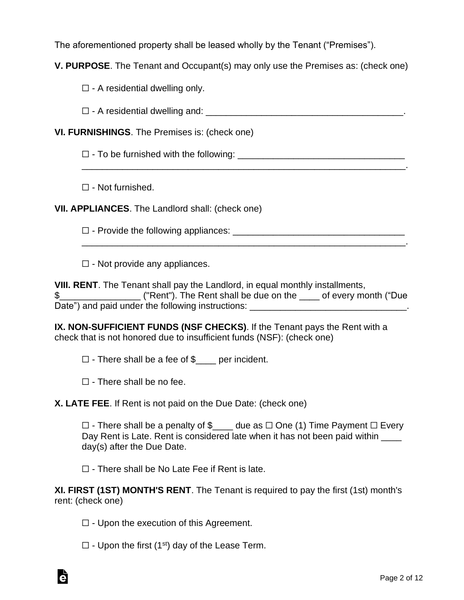The aforementioned property shall be leased wholly by the Tenant ("Premises").

**V. PURPOSE**. The Tenant and Occupant(s) may only use the Premises as: (check one)

 $\Box$  - A residential dwelling only.

 $\Box$  - A residential dwelling and:  $\Box$ 

\_\_\_\_\_\_\_\_\_\_\_\_\_\_\_\_\_\_\_\_\_\_\_\_\_\_\_\_\_\_\_\_\_\_\_\_\_\_\_\_\_\_\_\_\_\_\_\_\_\_\_\_\_\_\_\_\_\_\_\_\_\_\_\_.

\_\_\_\_\_\_\_\_\_\_\_\_\_\_\_\_\_\_\_\_\_\_\_\_\_\_\_\_\_\_\_\_\_\_\_\_\_\_\_\_\_\_\_\_\_\_\_\_\_\_\_\_\_\_\_\_\_\_\_\_\_\_\_\_.

**VI. FURNISHINGS**. The Premises is: (check one)

 $\Box$  - To be furnished with the following:

☐ - Not furnished.

**VII. APPLIANCES**. The Landlord shall: (check one)

 $\Box$  - Provide the following appliances:  $\Box$ 

 $\Box$  - Not provide any appliances.

**VIII. RENT**. The Tenant shall pay the Landlord, in equal monthly installments, \$\_\_\_\_\_\_\_\_\_\_\_\_\_\_\_\_ ("Rent"). The Rent shall be due on the \_\_\_\_ of every month ("Due Date") and paid under the following instructions: \_\_\_\_\_\_\_\_\_\_\_\_\_\_\_\_\_\_\_\_\_\_\_\_\_\_\_\_\_\_\_.

**IX. NON-SUFFICIENT FUNDS (NSF CHECKS)**. If the Tenant pays the Rent with a check that is not honored due to insufficient funds (NSF): (check one)

 $\Box$  - There shall be a fee of  $\$\$  per incident.

 $\Box$  - There shall be no fee.

**X. LATE FEE**. If Rent is not paid on the Due Date: (check one)

☐ - There shall be a penalty of \$\_\_\_\_ due as ☐ One (1) Time Payment ☐ Every Day Rent is Late. Rent is considered late when it has not been paid within \_\_\_\_ day(s) after the Due Date.

 $\Box$  - There shall be No Late Fee if Rent is late.

**XI. FIRST (1ST) MONTH'S RENT**. The Tenant is required to pay the first (1st) month's rent: (check one)

 $\Box$  - Upon the execution of this Agreement.

 $\Box$  - Upon the first (1<sup>st</sup>) day of the Lease Term.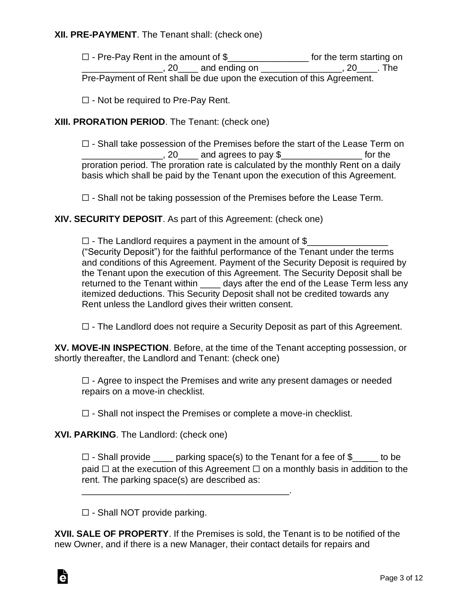# **XII. PRE-PAYMENT**. The Tenant shall: (check one)

☐ - Pre-Pay Rent in the amount of \$\_\_\_\_\_\_\_\_\_\_\_\_\_\_\_\_ for the term starting on \_\_\_\_\_\_\_\_\_\_\_\_\_\_\_\_\_, 20\_\_\_\_ and ending on \_\_\_\_\_\_\_\_\_\_\_\_\_\_\_\_\_, 20\_\_\_\_. The Pre-Payment of Rent shall be due upon the execution of this Agreement.

 $\Box$  - Not be required to Pre-Pay Rent.

# **XIII. PRORATION PERIOD**. The Tenant: (check one)

 $\Box$  - Shall take possession of the Premises before the start of the Lease Term on  $, 20$  and agrees to pay  $\$\,$  for the proration period. The proration rate is calculated by the monthly Rent on a daily basis which shall be paid by the Tenant upon the execution of this Agreement.

 $\Box$  - Shall not be taking possession of the Premises before the Lease Term.

**XIV. SECURITY DEPOSIT**. As part of this Agreement: (check one)

 $\Box$  - The Landlord requires a payment in the amount of \$ ("Security Deposit") for the faithful performance of the Tenant under the terms and conditions of this Agreement. Payment of the Security Deposit is required by the Tenant upon the execution of this Agreement. The Security Deposit shall be returned to the Tenant within \_\_\_\_\_ days after the end of the Lease Term less any itemized deductions. This Security Deposit shall not be credited towards any Rent unless the Landlord gives their written consent.

 $\Box$  - The Landlord does not require a Security Deposit as part of this Agreement.

**XV. MOVE-IN INSPECTION**. Before, at the time of the Tenant accepting possession, or shortly thereafter, the Landlord and Tenant: (check one)

 $\Box$  - Agree to inspect the Premises and write any present damages or needed repairs on a move-in checklist.

 $\Box$  - Shall not inspect the Premises or complete a move-in checklist.

**XVI. PARKING**. The Landlord: (check one)

 $\Box$  - Shall provide \_\_\_\_ parking space(s) to the Tenant for a fee of  $\mathcal{S}$ \_\_\_\_ to be paid  $\Box$  at the execution of this Agreement  $\Box$  on a monthly basis in addition to the rent. The parking space(s) are described as:

 $\Box$  - Shall NOT provide parking.

\_\_\_\_\_\_\_\_\_\_\_\_\_\_\_\_\_\_\_\_\_\_\_\_\_\_\_\_\_\_\_\_\_\_\_\_\_\_\_\_\_.

**XVII. SALE OF PROPERTY**. If the Premises is sold, the Tenant is to be notified of the new Owner, and if there is a new Manager, their contact details for repairs and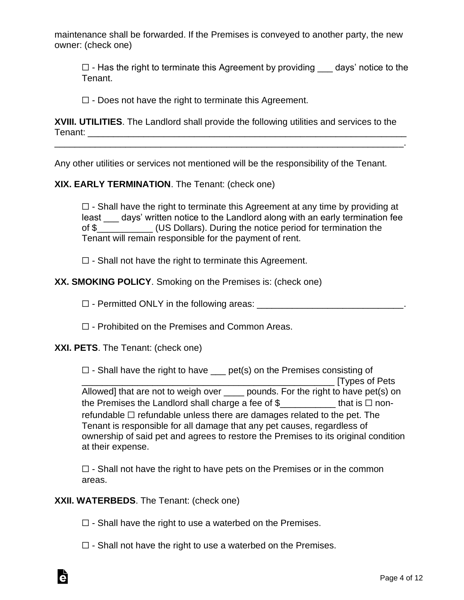maintenance shall be forwarded. If the Premises is conveyed to another party, the new owner: (check one)

 $\Box$  - Has the right to terminate this Agreement by providing days' notice to the Tenant.

 $\Box$  - Does not have the right to terminate this Agreement.

**XVIII. UTILITIES**. The Landlord shall provide the following utilities and services to the Tenant: \_\_\_\_\_\_\_\_\_\_\_\_\_\_\_\_\_\_\_\_\_\_\_\_\_\_\_\_\_\_\_\_\_\_\_\_\_\_\_\_\_\_\_\_\_\_\_\_\_\_\_\_\_\_\_\_\_\_\_\_\_\_\_

\_\_\_\_\_\_\_\_\_\_\_\_\_\_\_\_\_\_\_\_\_\_\_\_\_\_\_\_\_\_\_\_\_\_\_\_\_\_\_\_\_\_\_\_\_\_\_\_\_\_\_\_\_\_\_\_\_\_\_\_\_\_\_\_\_\_\_\_\_.

Any other utilities or services not mentioned will be the responsibility of the Tenant.

# **XIX. EARLY TERMINATION**. The Tenant: (check one)

 $\Box$  - Shall have the right to terminate this Agreement at any time by providing at least days' written notice to the Landlord along with an early termination fee of \$\_\_\_\_\_\_\_\_\_\_\_ (US Dollars). During the notice period for termination the Tenant will remain responsible for the payment of rent.

 $\Box$  - Shall not have the right to terminate this Agreement.

#### **XX. SMOKING POLICY**. Smoking on the Premises is: (check one)

☐ - Permitted ONLY in the following areas: \_\_\_\_\_\_\_\_\_\_\_\_\_\_\_\_\_\_\_\_\_\_\_\_\_\_\_\_\_.

☐ - Prohibited on the Premises and Common Areas.

#### **XXI. PETS**. The Tenant: (check one)

 $\Box$  - Shall have the right to have  $\Box$  pet(s) on the Premises consisting of \_\_\_\_\_\_\_\_\_\_\_\_\_\_\_\_\_\_\_\_\_\_\_\_\_\_\_\_\_\_\_\_\_\_\_\_\_\_\_\_\_\_\_\_\_\_\_\_\_\_ [Types of Pets Allowed] that are not to weigh over \_\_\_\_\_ pounds. For the right to have pet(s) on the Premises the Landlord shall charge a fee of  $\$\$  that is  $\Box$  nonrefundable  $\Box$  refundable unless there are damages related to the pet. The Tenant is responsible for all damage that any pet causes, regardless of ownership of said pet and agrees to restore the Premises to its original condition at their expense.

 $\Box$  - Shall not have the right to have pets on the Premises or in the common areas.

#### **XXII. WATERBEDS**. The Tenant: (check one)

Ġ

- $\Box$  Shall have the right to use a waterbed on the Premises.
- $\Box$  Shall not have the right to use a waterbed on the Premises.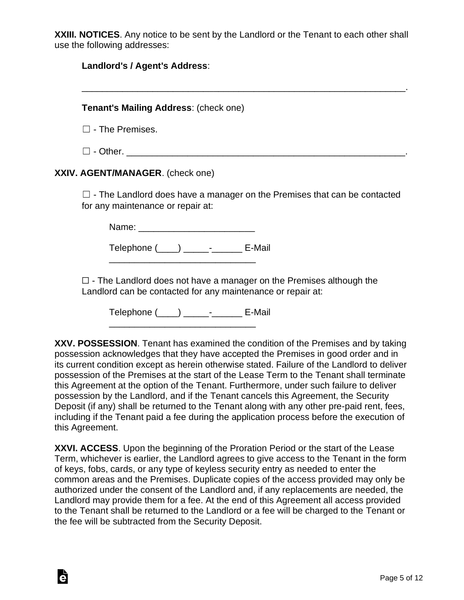**XXIII. NOTICES**. Any notice to be sent by the Landlord or the Tenant to each other shall use the following addresses:

| Landlord's / Agent's Address:                                                                                                                                                                                                                                                                                                                                                                                                                                                                                                                                                                                                                 |  |  |
|-----------------------------------------------------------------------------------------------------------------------------------------------------------------------------------------------------------------------------------------------------------------------------------------------------------------------------------------------------------------------------------------------------------------------------------------------------------------------------------------------------------------------------------------------------------------------------------------------------------------------------------------------|--|--|
| Tenant's Mailing Address: (check one)                                                                                                                                                                                                                                                                                                                                                                                                                                                                                                                                                                                                         |  |  |
| $\Box$ - The Premises.                                                                                                                                                                                                                                                                                                                                                                                                                                                                                                                                                                                                                        |  |  |
| $\Box$ - Other.                                                                                                                                                                                                                                                                                                                                                                                                                                                                                                                                                                                                                               |  |  |
| XXIV. AGENT/MANAGER. (check one)                                                                                                                                                                                                                                                                                                                                                                                                                                                                                                                                                                                                              |  |  |
| $\Box$ - The Landlord does have a manager on the Premises that can be contacted<br>for any maintenance or repair at:                                                                                                                                                                                                                                                                                                                                                                                                                                                                                                                          |  |  |
| Name: ___________________________                                                                                                                                                                                                                                                                                                                                                                                                                                                                                                                                                                                                             |  |  |
| Telephone (____) ______- _______ E-Mail                                                                                                                                                                                                                                                                                                                                                                                                                                                                                                                                                                                                       |  |  |
| $\Box$ - The Landlord does not have a manager on the Premises although the<br>Landlord can be contacted for any maintenance or repair at:                                                                                                                                                                                                                                                                                                                                                                                                                                                                                                     |  |  |
| Telephone (____) ______-________ E-Mail                                                                                                                                                                                                                                                                                                                                                                                                                                                                                                                                                                                                       |  |  |
| XXV. POSSESSION. Tenant has examined the condition of the Premises and by taking<br>possession acknowledges that they have accepted the Premises in good order and in<br>its current condition except as herein otherwise stated. Failure of the Landlord to deliver<br>possession of the Premises at the start of the Lease Term to the Tenant shall terminate<br>this Agreement at the option of the Tenant. Furthermore, under such failure to deliver<br>possession by the Landlord, and if the Tenant cancels this Agreement, the Security<br>Deposit (if any) shall be returned to the Tenant along with any other pre-paid rent, fees, |  |  |

this Agreement. **XXVI. ACCESS**. Upon the beginning of the Proration Period or the start of the Lease Term, whichever is earlier, the Landlord agrees to give access to the Tenant in the form of keys, fobs, cards, or any type of keyless security entry as needed to enter the common areas and the Premises. Duplicate copies of the access provided may only be authorized under the consent of the Landlord and, if any replacements are needed, the Landlord may provide them for a fee. At the end of this Agreement all access provided to the Tenant shall be returned to the Landlord or a fee will be charged to the Tenant or the fee will be subtracted from the Security Deposit.

Ġ

including if the Tenant paid a fee during the application process before the execution of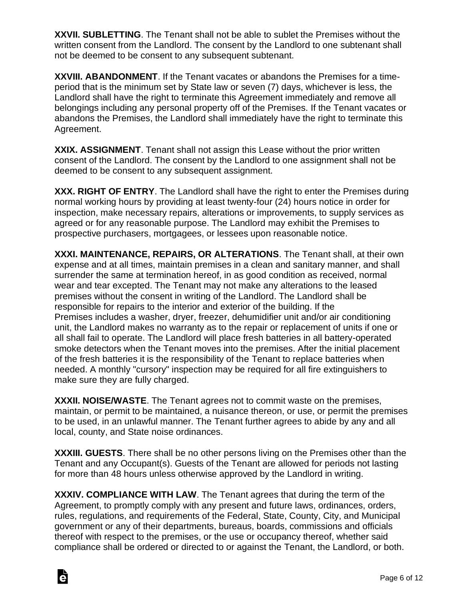**XXVII. SUBLETTING**. The Tenant shall not be able to sublet the Premises without the written consent from the Landlord. The consent by the Landlord to one subtenant shall not be deemed to be consent to any subsequent subtenant.

**XXVIII. ABANDONMENT**. If the Tenant vacates or abandons the Premises for a timeperiod that is the minimum set by State law or seven (7) days, whichever is less, the Landlord shall have the right to terminate this Agreement immediately and remove all belongings including any personal property off of the Premises. If the Tenant vacates or abandons the Premises, the Landlord shall immediately have the right to terminate this Agreement.

**XXIX. ASSIGNMENT**. Tenant shall not assign this Lease without the prior written consent of the Landlord. The consent by the Landlord to one assignment shall not be deemed to be consent to any subsequent assignment.

**XXX. RIGHT OF ENTRY**. The Landlord shall have the right to enter the Premises during normal working hours by providing at least twenty-four (24) hours notice in order for inspection, make necessary repairs, alterations or improvements, to supply services as agreed or for any reasonable purpose. The Landlord may exhibit the Premises to prospective purchasers, mortgagees, or lessees upon reasonable notice.

**XXXI. MAINTENANCE, REPAIRS, OR ALTERATIONS**. The Tenant shall, at their own expense and at all times, maintain premises in a clean and sanitary manner, and shall surrender the same at termination hereof, in as good condition as received, normal wear and tear excepted. The Tenant may not make any alterations to the leased premises without the consent in writing of the Landlord. The Landlord shall be responsible for repairs to the interior and exterior of the building. If the Premises includes a washer, dryer, freezer, dehumidifier unit and/or air conditioning unit, the Landlord makes no warranty as to the repair or replacement of units if one or all shall fail to operate. The Landlord will place fresh batteries in all battery-operated smoke detectors when the Tenant moves into the premises. After the initial placement of the fresh batteries it is the responsibility of the Tenant to replace batteries when needed. A monthly "cursory" inspection may be required for all fire extinguishers to make sure they are fully charged.

**XXXII. NOISE/WASTE**. The Tenant agrees not to commit waste on the premises, maintain, or permit to be maintained, a nuisance thereon, or use, or permit the premises to be used, in an unlawful manner. The Tenant further agrees to abide by any and all local, county, and State noise ordinances.

**XXXIII. GUESTS**. There shall be no other persons living on the Premises other than the Tenant and any Occupant(s). Guests of the Tenant are allowed for periods not lasting for more than 48 hours unless otherwise approved by the Landlord in writing.

**XXXIV. COMPLIANCE WITH LAW**. The Tenant agrees that during the term of the Agreement, to promptly comply with any present and future laws, ordinances, orders, rules, regulations, and requirements of the Federal, State, County, City, and Municipal government or any of their departments, bureaus, boards, commissions and officials thereof with respect to the premises, or the use or occupancy thereof, whether said compliance shall be ordered or directed to or against the Tenant, the Landlord, or both.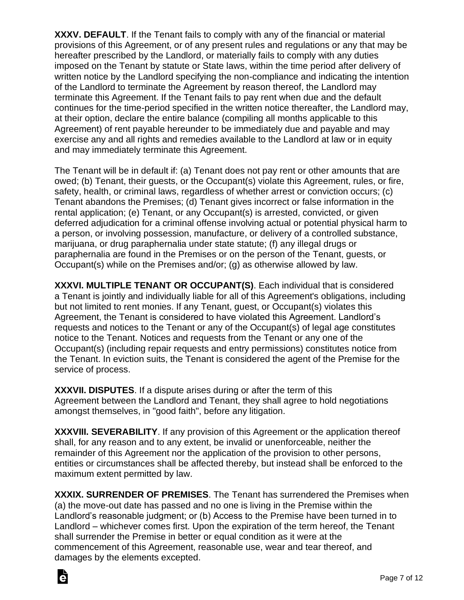**XXXV. DEFAULT**. If the Tenant fails to comply with any of the financial or material provisions of this Agreement, or of any present rules and regulations or any that may be hereafter prescribed by the Landlord, or materially fails to comply with any duties imposed on the Tenant by statute or State laws, within the time period after delivery of written notice by the Landlord specifying the non-compliance and indicating the intention of the Landlord to terminate the Agreement by reason thereof, the Landlord may terminate this Agreement. If the Tenant fails to pay rent when due and the default continues for the time-period specified in the written notice thereafter, the Landlord may, at their option, declare the entire balance (compiling all months applicable to this Agreement) of rent payable hereunder to be immediately due and payable and may exercise any and all rights and remedies available to the Landlord at law or in equity and may immediately terminate this Agreement.

The Tenant will be in default if: (a) Tenant does not pay rent or other amounts that are owed; (b) Tenant, their guests, or the Occupant(s) violate this Agreement, rules, or fire, safety, health, or criminal laws, regardless of whether arrest or conviction occurs; (c) Tenant abandons the Premises; (d) Tenant gives incorrect or false information in the rental application; (e) Tenant, or any Occupant(s) is arrested, convicted, or given deferred adjudication for a criminal offense involving actual or potential physical harm to a person, or involving possession, manufacture, or delivery of a controlled substance, marijuana, or drug paraphernalia under state statute; (f) any illegal drugs or paraphernalia are found in the Premises or on the person of the Tenant, guests, or Occupant(s) while on the Premises and/or; (g) as otherwise allowed by law.

**XXXVI. MULTIPLE TENANT OR OCCUPANT(S)**. Each individual that is considered a Tenant is jointly and individually liable for all of this Agreement's obligations, including but not limited to rent monies. If any Tenant, guest, or Occupant(s) violates this Agreement, the Tenant is considered to have violated this Agreement. Landlord's requests and notices to the Tenant or any of the Occupant(s) of legal age constitutes notice to the Tenant. Notices and requests from the Tenant or any one of the Occupant(s) (including repair requests and entry permissions) constitutes notice from the Tenant. In eviction suits, the Tenant is considered the agent of the Premise for the service of process.

**XXXVII. DISPUTES**. If a dispute arises during or after the term of this Agreement between the Landlord and Tenant, they shall agree to hold negotiations amongst themselves, in "good faith", before any litigation.

**XXXVIII. SEVERABILITY**. If any provision of this Agreement or the application thereof shall, for any reason and to any extent, be invalid or unenforceable, neither the remainder of this Agreement nor the application of the provision to other persons, entities or circumstances shall be affected thereby, but instead shall be enforced to the maximum extent permitted by law.

**XXXIX. SURRENDER OF PREMISES**. The Tenant has surrendered the Premises when (a) the move-out date has passed and no one is living in the Premise within the Landlord's reasonable judgment; or (b) Access to the Premise have been turned in to Landlord – whichever comes first. Upon the expiration of the term hereof, the Tenant shall surrender the Premise in better or equal condition as it were at the commencement of this Agreement, reasonable use, wear and tear thereof, and damages by the elements excepted.

Ġ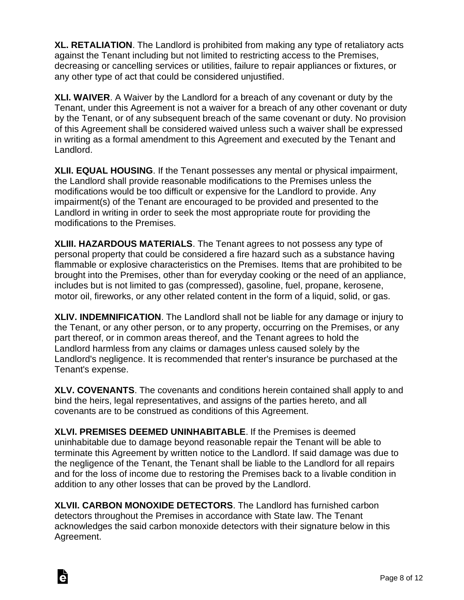**XL. RETALIATION**. The Landlord is prohibited from making any type of retaliatory acts against the Tenant including but not limited to restricting access to the Premises, decreasing or cancelling services or utilities, failure to repair appliances or fixtures, or any other type of act that could be considered unjustified.

**XLI. WAIVER**. A Waiver by the Landlord for a breach of any covenant or duty by the Tenant, under this Agreement is not a waiver for a breach of any other covenant or duty by the Tenant, or of any subsequent breach of the same covenant or duty. No provision of this Agreement shall be considered waived unless such a waiver shall be expressed in writing as a formal amendment to this Agreement and executed by the Tenant and Landlord.

**XLII. EQUAL HOUSING**. If the Tenant possesses any mental or physical impairment, the Landlord shall provide reasonable modifications to the Premises unless the modifications would be too difficult or expensive for the Landlord to provide. Any impairment(s) of the Tenant are encouraged to be provided and presented to the Landlord in writing in order to seek the most appropriate route for providing the modifications to the Premises.

**XLIII. HAZARDOUS MATERIALS**. The Tenant agrees to not possess any type of personal property that could be considered a fire hazard such as a substance having flammable or explosive characteristics on the Premises. Items that are prohibited to be brought into the Premises, other than for everyday cooking or the need of an appliance, includes but is not limited to gas (compressed), gasoline, fuel, propane, kerosene, motor oil, fireworks, or any other related content in the form of a liquid, solid, or gas.

**XLIV. INDEMNIFICATION**. The Landlord shall not be liable for any damage or injury to the Tenant, or any other person, or to any property, occurring on the Premises, or any part thereof, or in common areas thereof, and the Tenant agrees to hold the Landlord harmless from any claims or damages unless caused solely by the Landlord's negligence. It is recommended that renter's insurance be purchased at the Tenant's expense.

**XLV. COVENANTS**. The covenants and conditions herein contained shall apply to and bind the heirs, legal representatives, and assigns of the parties hereto, and all covenants are to be construed as conditions of this Agreement.

**XLVI. PREMISES DEEMED UNINHABITABLE**. If the Premises is deemed uninhabitable due to damage beyond reasonable repair the Tenant will be able to terminate this Agreement by written notice to the Landlord. If said damage was due to the negligence of the Tenant, the Tenant shall be liable to the Landlord for all repairs and for the loss of income due to restoring the Premises back to a livable condition in addition to any other losses that can be proved by the Landlord.

**XLVII. CARBON MONOXIDE DETECTORS**. The Landlord has furnished carbon detectors throughout the Premises in accordance with State law. The Tenant acknowledges the said carbon monoxide detectors with their signature below in this Agreement.

Ġ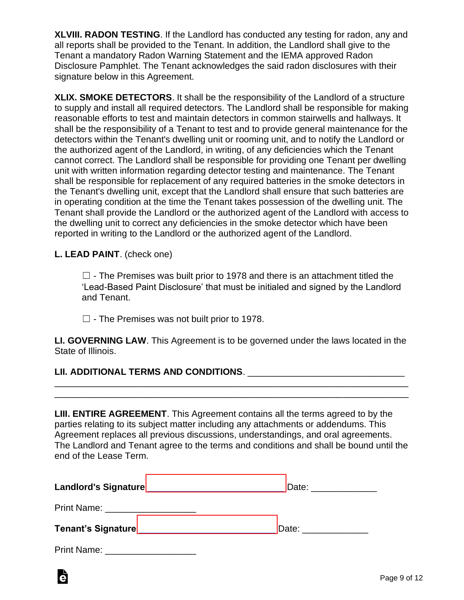**XLVIII. RADON TESTING**. If the Landlord has conducted any testing for radon, any and all reports shall be provided to the Tenant. In addition, the Landlord shall give to the Tenant a mandatory Radon Warning Statement and the IEMA approved Radon Disclosure Pamphlet. The Tenant acknowledges the said radon disclosures with their signature below in this Agreement.

**XLIX. SMOKE DETECTORS**. It shall be the responsibility of the Landlord of a structure to supply and install all required detectors. The Landlord shall be responsible for making reasonable efforts to test and maintain detectors in common stairwells and hallways. It shall be the responsibility of a Tenant to test and to provide general maintenance for the detectors within the Tenant's dwelling unit or rooming unit, and to notify the Landlord or the authorized agent of the Landlord, in writing, of any deficiencies which the Tenant cannot correct. The Landlord shall be responsible for providing one Tenant per dwelling unit with written information regarding detector testing and maintenance. The Tenant shall be responsible for replacement of any required batteries in the smoke detectors in the Tenant's dwelling unit, except that the Landlord shall ensure that such batteries are in operating condition at the time the Tenant takes possession of the dwelling unit. The Tenant shall provide the Landlord or the authorized agent of the Landlord with access to the dwelling unit to correct any deficiencies in the smoke detector which have been reported in writing to the Landlord or the authorized agent of the Landlord.

# **L. LEAD PAINT**. (check one)

 $\Box$  - The Premises was built prior to 1978 and there is an attachment titled the 'Lead-Based Paint Disclosure' that must be initialed and signed by the Landlord and Tenant.

 $\Box$  - The Premises was not built prior to 1978.

**LI. GOVERNING LAW**. This Agreement is to be governed under the laws located in the State of Illinois.

\_\_\_\_\_\_\_\_\_\_\_\_\_\_\_\_\_\_\_\_\_\_\_\_\_\_\_\_\_\_\_\_\_\_\_\_\_\_\_\_\_\_\_\_\_\_\_\_\_\_\_\_\_\_\_\_\_\_\_\_\_\_\_\_\_\_\_\_\_\_ \_\_\_\_\_\_\_\_\_\_\_\_\_\_\_\_\_\_\_\_\_\_\_\_\_\_\_\_\_\_\_\_\_\_\_\_\_\_\_\_\_\_\_\_\_\_\_\_\_\_\_\_\_\_\_\_\_\_\_\_\_\_\_\_\_\_\_\_\_\_

# LII. ADDITIONAL TERMS AND CONDITIONS.

**LIII. ENTIRE AGREEMENT**. This Agreement contains all the terms agreed to by the parties relating to its subject matter including any attachments or addendums. This Agreement replaces all previous discussions, understandings, and oral agreements. The Landlord and Tenant agree to the terms and conditions and shall be bound until the end of the Lease Term.

|                                             | Date: ______________ |
|---------------------------------------------|----------------------|
| Print Name: _____________________           |                      |
|                                             | Date: _____________  |
| Print Name: <u>________________________</u> |                      |

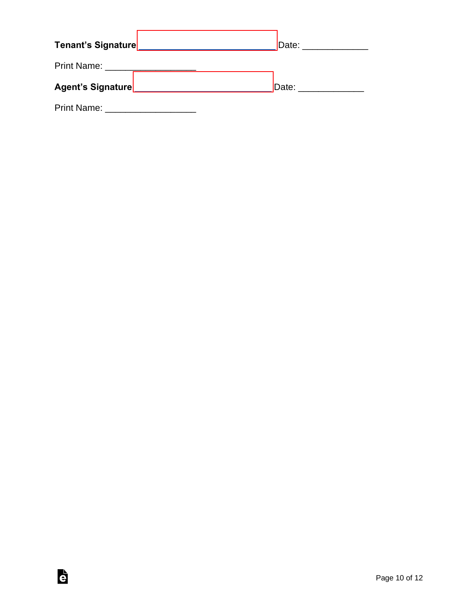|                                   | Date: _______________ |
|-----------------------------------|-----------------------|
| Print Name: _____________________ |                       |
|                                   |                       |
|                                   | Date: ______________  |

è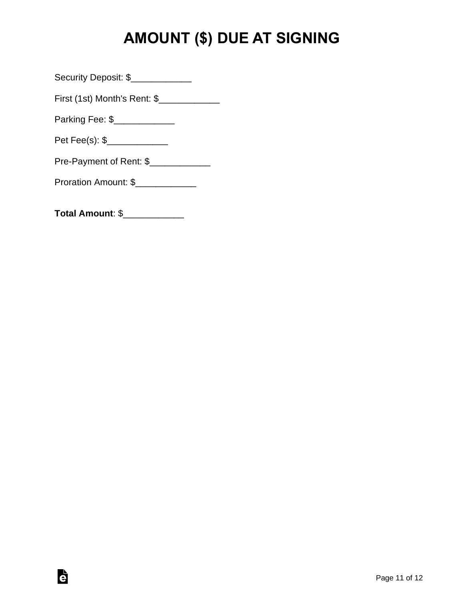# **AMOUNT (\$) DUE AT SIGNING**

Security Deposit: \$\_\_\_\_\_\_\_\_\_\_\_\_\_\_

First (1st) Month's Rent: \$\_\_\_\_\_\_\_\_\_\_\_\_\_

Parking Fee: \$\_\_\_\_\_\_\_\_\_\_\_\_\_\_

Pet Fee(s): \$\_\_\_\_\_\_\_\_\_\_\_\_\_\_

Pre-Payment of Rent: \$\_\_\_\_\_\_\_\_\_\_\_\_\_\_

Proration Amount: \$

**Total Amount**: \$\_\_\_\_\_\_\_\_\_\_\_\_

è